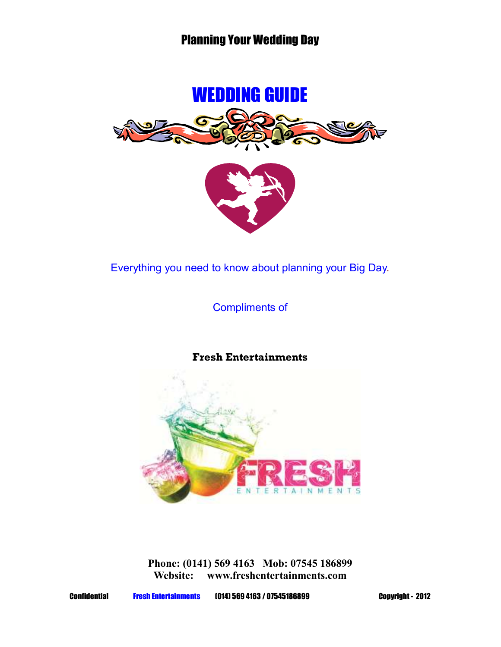



Everything you need to know about planning your Big Day.

Compliments of

## **Fresh Entertainments**



**Phone: (0141) 569 4163 Mob: 07545 186899 Website: www.freshentertainments.com** 

Confidential Fresh Entertainments (014) 569 4163 / 07545186899 Copyright - 2012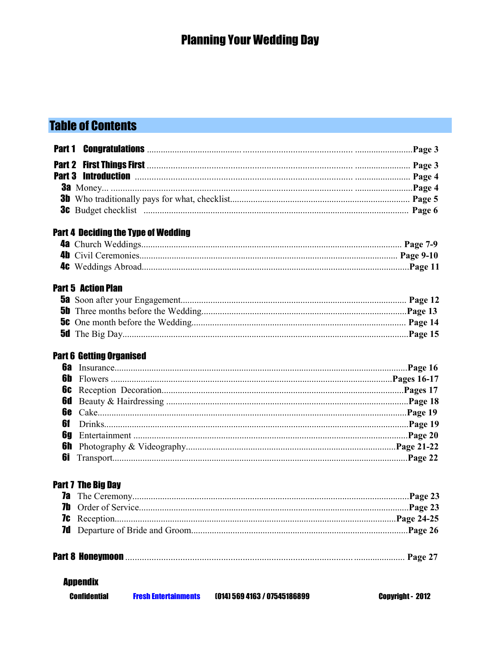# **Table of Contents**

|                                 | <b>Part 4 Deciding the Type of Wedding</b> |                              |                  |
|---------------------------------|--------------------------------------------|------------------------------|------------------|
|                                 |                                            |                              |                  |
|                                 |                                            |                              |                  |
|                                 |                                            |                              |                  |
| <b>Part 5 Action Plan</b>       |                                            |                              |                  |
|                                 |                                            |                              |                  |
|                                 |                                            |                              |                  |
|                                 |                                            |                              |                  |
|                                 |                                            |                              |                  |
| <b>Part 6 Getting Organised</b> |                                            |                              |                  |
| 6a                              |                                            |                              |                  |
|                                 |                                            |                              |                  |
| 6C                              |                                            |                              |                  |
|                                 |                                            |                              |                  |
|                                 |                                            |                              |                  |
| 6f                              |                                            |                              |                  |
| 69                              |                                            |                              |                  |
|                                 |                                            |                              |                  |
|                                 |                                            |                              |                  |
| <b>Part 7 The Big Day</b>       |                                            |                              |                  |
|                                 |                                            |                              |                  |
|                                 |                                            |                              |                  |
| 7¢                              |                                            |                              |                  |
| 7d                              |                                            |                              |                  |
|                                 |                                            |                              |                  |
| <b>Appendix</b>                 |                                            |                              |                  |
| <b>Confidential</b>             | <b>Fresh Entertainments</b>                | (014) 569 4163 / 07545186899 | Copyright - 2012 |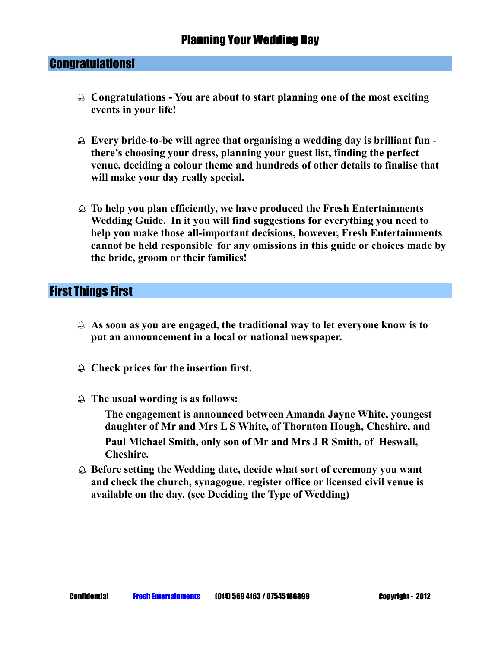#### Congratulations!

- ֠ **Congratulations You are about to start planning one of the most exciting events in your life!**
- ֠ **Every bride-to-be will agree that organising a wedding day is brilliant fun there's choosing your dress, planning your guest list, finding the perfect venue, deciding a colour theme and hundreds of other details to finalise that will make your day really special.**
- ֠ **To help you plan efficiently, we have produced the Fresh Entertainments Wedding Guide. In it you will find suggestions for everything you need to help you make those all-important decisions, however, Fresh Entertainments cannot be held responsible for any omissions in this guide or choices made by the bride, groom or their families!**

### First Things First

- ֠ **As soon as you are engaged, the traditional way to let everyone know is to put an announcement in a local or national newspaper.**
- ֠ **Check prices for the insertion first.**
- ֠ **The usual wording is as follows:**

 **The engagement is announced between Amanda Jayne White, youngest daughter of Mr and Mrs L S White, of Thornton Hough, Cheshire, and Paul Michael Smith, only son of Mr and Mrs J R Smith, of Heswall, Cheshire.** 

֠ **Before setting the Wedding date, decide what sort of ceremony you want and check the church, synagogue, register office or licensed civil venue is available on the day. (see Deciding the Type of Wedding)**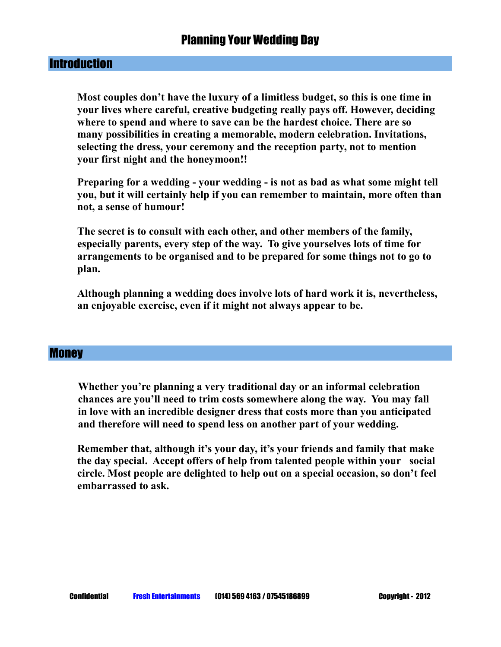#### **Introduction**

**Most couples don't have the luxury of a limitless budget, so this is one time in your lives where careful, creative budgeting really pays off. However, deciding where to spend and where to save can be the hardest choice. There are so many possibilities in creating a memorable, modern celebration. Invitations, selecting the dress, your ceremony and the reception party, not to mention your first night and the honeymoon!!** 

 **Preparing for a wedding - your wedding - is not as bad as what some might tell you, but it will certainly help if you can remember to maintain, more often than not, a sense of humour!** 

 **The secret is to consult with each other, and other members of the family, especially parents, every step of the way. To give yourselves lots of time for arrangements to be organised and to be prepared for some things not to go to plan.** 

 **Although planning a wedding does involve lots of hard work it is, nevertheless, an enjoyable exercise, even if it might not always appear to be.** 

#### **Money**

**Whether you're planning a very traditional day or an informal celebration chances are you'll need to trim costs somewhere along the way. You may fall in love with an incredible designer dress that costs more than you anticipated and therefore will need to spend less on another part of your wedding.** 

 **Remember that, although it's your day, it's your friends and family that make the day special. Accept offers of help from talented people within your social circle. Most people are delighted to help out on a special occasion, so don't feel embarrassed to ask.**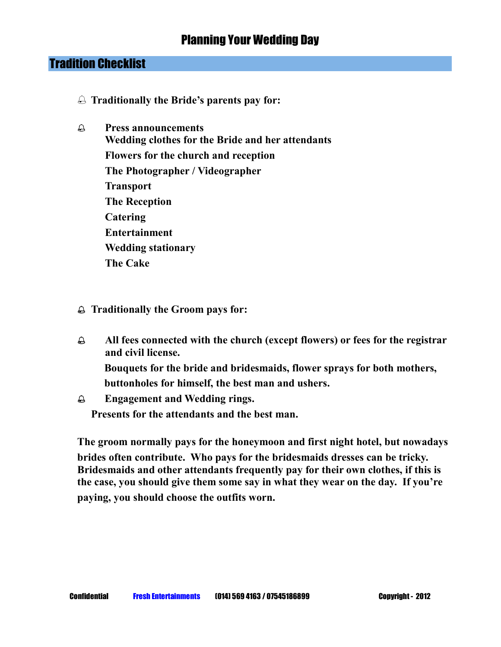### Tradition Checklist

- ֠ **Traditionally the Bride's parents pay for:**
- ֠ **Press announcements Wedding clothes for the Bride and her attendants Flowers for the church and reception The Photographer / Videographer Transport The Reception Catering Entertainment Wedding stationary The Cake**
- ֠ **Traditionally the Groom pays for:**
- ֠ **All fees connected with the church (except flowers) or fees for the registrar and civil license. Bouquets for the bride and bridesmaids, flower sprays for both mothers,**

 **buttonholes for himself, the best man and ushers.** 

֠ **Engagement and Wedding rings. Presents for the attendants and the best man.**

**The groom normally pays for the honeymoon and first night hotel, but nowadays brides often contribute. Who pays for the bridesmaids dresses can be tricky. Bridesmaids and other attendants frequently pay for their own clothes, if this is the case, you should give them some say in what they wear on the day. If you're paying, you should choose the outfits worn.**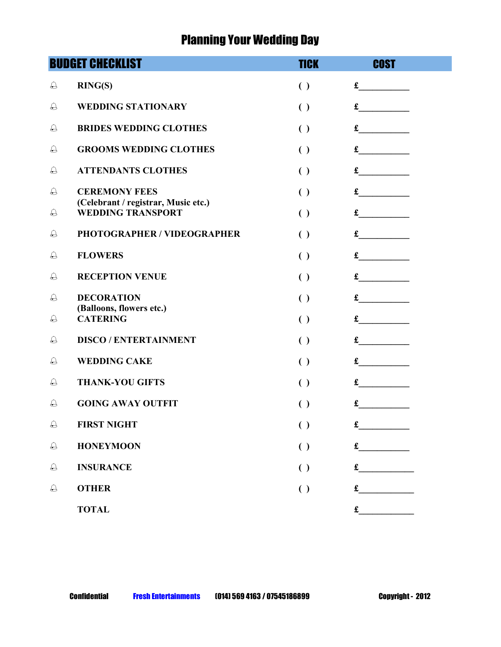|            | <b>BUDGET CHECKLIST</b>                                     | <b>TICK</b>        | <b>COST</b> |
|------------|-------------------------------------------------------------|--------------------|-------------|
| $\ominus$  | RING(S)                                                     | $\left( \ \right)$ | £           |
| €          | <b>WEDDING STATIONARY</b>                                   | $\left( \ \right)$ | £           |
| $\ominus$  | <b>BRIDES WEDDING CLOTHES</b>                               | $\left( \ \right)$ | £           |
| €          | <b>GROOMS WEDDING CLOTHES</b>                               | $\left( \ \right)$ | £           |
| $\ominus$  | <b>ATTENDANTS CLOTHES</b>                                   | $\left( \ \right)$ | £           |
| $\ominus$  | <b>CEREMONY FEES</b><br>(Celebrant / registrar, Music etc.) | $\left( \ \right)$ | £           |
| $\ominus$  | <b>WEDDING TRANSPORT</b>                                    | $\left( \ \right)$ | £           |
| $\ominus$  | PHOTOGRAPHER / VIDEOGRAPHER                                 | $\left( \ \right)$ | £           |
| €          | <b>FLOWERS</b>                                              | $\left( \ \right)$ | £           |
| €          | <b>RECEPTION VENUE</b>                                      | $\left( \ \right)$ | £           |
| €          | <b>DECORATION</b><br>(Balloons, flowers etc.)               | $\left( \ \right)$ | £           |
| $\ominus$  | <b>CATERING</b>                                             | $\left( \ \right)$ | £           |
| $\bigcirc$ | <b>DISCO / ENTERTAINMENT</b>                                | $\left( \ \right)$ | £           |
| $\ominus$  | <b>WEDDING CAKE</b>                                         | $\left( \ \right)$ | £           |
| €          | <b>THANK-YOU GIFTS</b>                                      | $\left( \ \right)$ | £           |
| €          | <b>GOING AWAY OUTFIT</b>                                    | $\left( \ \right)$ | £           |
| $\bigcirc$ | <b>FIRST NIGHT</b>                                          | $\left( \ \right)$ | £           |
| $\bigcirc$ | <b>HONEYMOON</b>                                            | $\left( \ \right)$ | £           |
| $\bigcirc$ | <b>INSURANCE</b>                                            | $\left( \ \right)$ | £           |
| $\bigcirc$ | <b>OTHER</b>                                                | $\left( \ \right)$ | £           |
|            | <b>TOTAL</b>                                                |                    | $\mathbf f$ |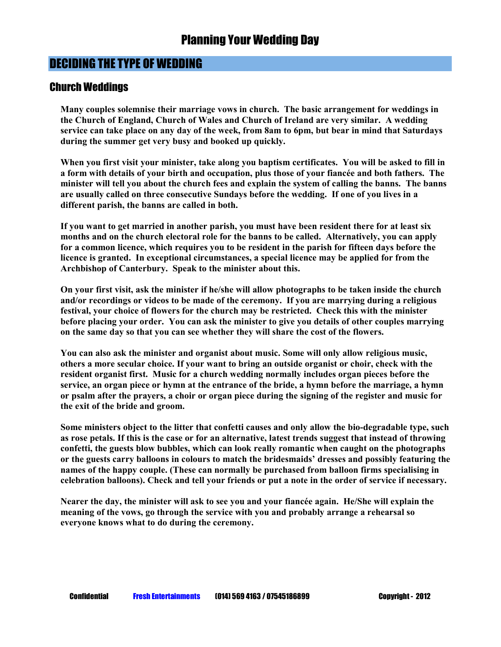#### Church Weddings

**Many couples solemnise their marriage vows in church. The basic arrangement for weddings in the Church of England, Church of Wales and Church of Ireland are very similar. A wedding service can take place on any day of the week, from 8am to 6pm, but bear in mind that Saturdays during the summer get very busy and booked up quickly.** 

**When you first visit your minister, take along you baptism certificates. You will be asked to fill in a form with details of your birth and occupation, plus those of your fiancée and both fathers. The minister will tell you about the church fees and explain the system of calling the banns. The banns are usually called on three consecutive Sundays before the wedding. If one of you lives in a different parish, the banns are called in both.** 

**If you want to get married in another parish, you must have been resident there for at least six months and on the church electoral role for the banns to be called. Alternatively, you can apply for a common licence, which requires you to be resident in the parish for fifteen days before the licence is granted. In exceptional circumstances, a special licence may be applied for from the Archbishop of Canterbury. Speak to the minister about this.** 

**On your first visit, ask the minister if he/she will allow photographs to be taken inside the church and/or recordings or videos to be made of the ceremony. If you are marrying during a religious festival, your choice of flowers for the church may be restricted. Check this with the minister before placing your order. You can ask the minister to give you details of other couples marrying on the same day so that you can see whether they will share the cost of the flowers.** 

**You can also ask the minister and organist about music. Some will only allow religious music, others a more secular choice. If your want to bring an outside organist or choir, check with the resident organist first. Music for a church wedding normally includes organ pieces before the service, an organ piece or hymn at the entrance of the bride, a hymn before the marriage, a hymn or psalm after the prayers, a choir or organ piece during the signing of the register and music for the exit of the bride and groom.** 

**Some ministers object to the litter that confetti causes and only allow the bio-degradable type, such as rose petals. If this is the case or for an alternative, latest trends suggest that instead of throwing confetti, the guests blow bubbles, which can look really romantic when caught on the photographs or the guests carry balloons in colours to match the bridesmaids' dresses and possibly featuring the names of the happy couple. (These can normally be purchased from balloon firms specialising in celebration balloons). Check and tell your friends or put a note in the order of service if necessary.**

**Nearer the day, the minister will ask to see you and your fiancée again. He/She will explain the meaning of the vows, go through the service with you and probably arrange a rehearsal so everyone knows what to do during the ceremony.**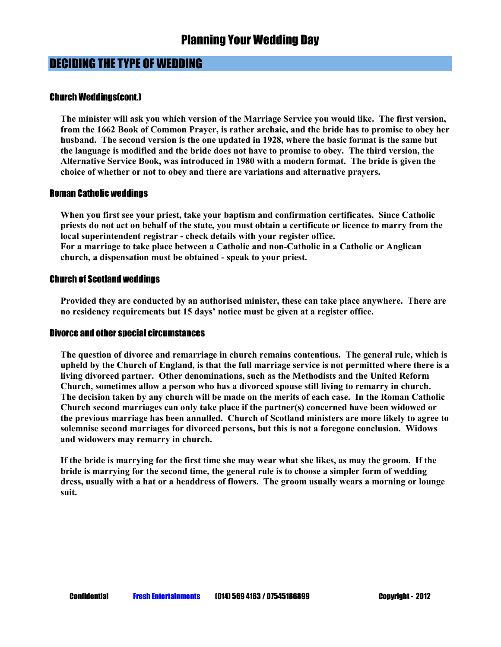#### Church Weddings(cont.)

**The minister will ask you which version of the Marriage Service you would like. The first version, from the 1662 Book of Common Prayer, is rather archaic, and the bride has to promise to obey her husband. The second version is the one updated in 1928, where the basic format is the same but the language is modified and the bride does not have to promise to obey. The third version, the Alternative Service Book, was introduced in 1980 with a modern format. The bride is given the choice of whether or not to obey and there are variations and alternative prayers.** 

#### Roman Catholic weddings

**When you first see your priest, take your baptism and confirmation certificates. Since Catholic priests do not act on behalf of the state, you must obtain a certificate or licence to marry from the local superintendent registrar - check details with your register office. For a marriage to take place between a Catholic and non-Catholic in a Catholic or Anglican church, a dispensation must be obtained - speak to your priest.** 

#### Church of Scotland weddings

**Provided they are conducted by an authorised minister, these can take place anywhere. There are no residency requirements but 15 days' notice must be given at a register office.** 

#### Divorce and other special circumstances

**The question of divorce and remarriage in church remains contentious. The general rule, which is upheld by the Church of England, is that the full marriage service is not permitted where there is a living divorced partner. Other denominations, such as the Methodists and the United Reform Church, sometimes allow a person who has a divorced spouse still living to remarry in church. The decision taken by any church will be made on the merits of each case. In the Roman Catholic Church second marriages can only take place if the partner(s) concerned have been widowed or the previous marriage has been annulled. Church of Scotland ministers are more likely to agree to solemnise second marriages for divorced persons, but this is not a foregone conclusion. Widows and widowers may remarry in church.** 

**If the bride is marrying for the first time she may wear what she likes, as may the groom. If the bride is marrying for the second time, the general rule is to choose a simpler form of wedding dress, usually with a hat or a headdress of flowers. The groom usually wears a morning or lounge suit.**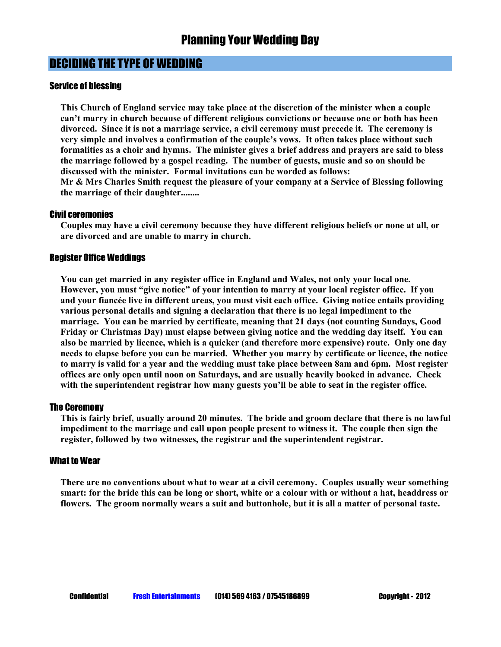#### Service of blessing

**This Church of England service may take place at the discretion of the minister when a couple can't marry in church because of different religious convictions or because one or both has been divorced. Since it is not a marriage service, a civil ceremony must precede it. The ceremony is very simple and involves a confirmation of the couple's vows. It often takes place without such formalities as a choir and hymns. The minister gives a brief address and prayers are said to bless the marriage followed by a gospel reading. The number of guests, music and so on should be discussed with the minister. Formal invitations can be worded as follows:** 

**Mr & Mrs Charles Smith request the pleasure of your company at a Service of Blessing following the marriage of their daughter........** 

#### Civil ceremonies

**Couples may have a civil ceremony because they have different religious beliefs or none at all, or are divorced and are unable to marry in church.** 

#### Register Office Weddings

**You can get married in any register office in England and Wales, not only your local one. However, you must "give notice" of your intention to marry at your local register office. If you and your fiancée live in different areas, you must visit each office. Giving notice entails providing various personal details and signing a declaration that there is no legal impediment to the marriage. You can be married by certificate, meaning that 21 days (not counting Sundays, Good Friday or Christmas Day) must elapse between giving notice and the wedding day itself. You can also be married by licence, which is a quicker (and therefore more expensive) route. Only one day needs to elapse before you can be married. Whether you marry by certificate or licence, the notice to marry is valid for a year and the wedding must take place between 8am and 6pm. Most register offices are only open until noon on Saturdays, and are usually heavily booked in advance. Check with the superintendent registrar how many guests you'll be able to seat in the register office.** 

#### The Ceremony

**This is fairly brief, usually around 20 minutes. The bride and groom declare that there is no lawful impediment to the marriage and call upon people present to witness it. The couple then sign the register, followed by two witnesses, the registrar and the superintendent registrar.** 

#### What to Wear

**There are no conventions about what to wear at a civil ceremony. Couples usually wear something smart: for the bride this can be long or short, white or a colour with or without a hat, headdress or flowers. The groom normally wears a suit and buttonhole, but it is all a matter of personal taste.**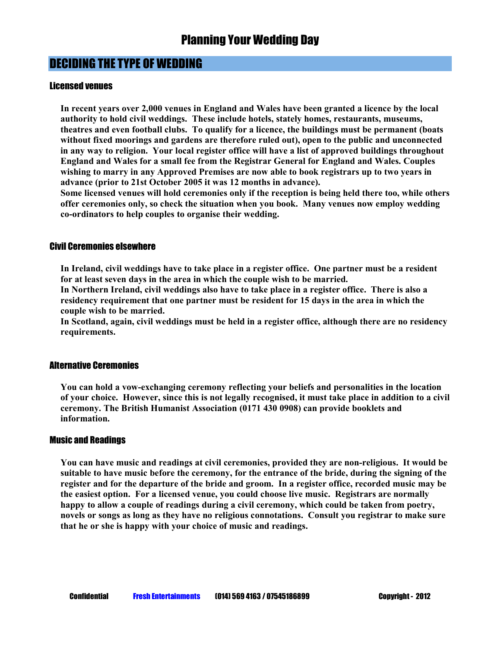#### Licensed venues

**In recent years over 2,000 venues in England and Wales have been granted a licence by the local authority to hold civil weddings. These include hotels, stately homes, restaurants, museums, theatres and even football clubs. To qualify for a licence, the buildings must be permanent (boats without fixed moorings and gardens are therefore ruled out), open to the public and unconnected in any way to religion. Your local register office will have a list of approved buildings throughout England and Wales for a small fee from the Registrar General for England and Wales. Couples wishing to marry in any Approved Premises are now able to book registrars up to two years in advance (prior to 21st October 2005 it was 12 months in advance).** 

**Some licensed venues will hold ceremonies only if the reception is being held there too, while others offer ceremonies only, so check the situation when you book. Many venues now employ wedding co-ordinators to help couples to organise their wedding.** 

#### Civil Ceremonies elsewhere

**In Ireland, civil weddings have to take place in a register office. One partner must be a resident for at least seven days in the area in which the couple wish to be married.** 

**In Northern Ireland, civil weddings also have to take place in a register office. There is also a residency requirement that one partner must be resident for 15 days in the area in which the couple wish to be married.** 

**In Scotland, again, civil weddings must be held in a register office, although there are no residency requirements.** 

#### Alternative Ceremonies

**You can hold a vow-exchanging ceremony reflecting your beliefs and personalities in the location of your choice. However, since this is not legally recognised, it must take place in addition to a civil ceremony. The British Humanist Association (0171 430 0908) can provide booklets and information.** 

#### Music and Readings

**You can have music and readings at civil ceremonies, provided they are non-religious. It would be suitable to have music before the ceremony, for the entrance of the bride, during the signing of the register and for the departure of the bride and groom. In a register office, recorded music may be the easiest option. For a licensed venue, you could choose live music. Registrars are normally happy to allow a couple of readings during a civil ceremony, which could be taken from poetry, novels or songs as long as they have no religious connotations. Consult you registrar to make sure that he or she is happy with your choice of music and readings.**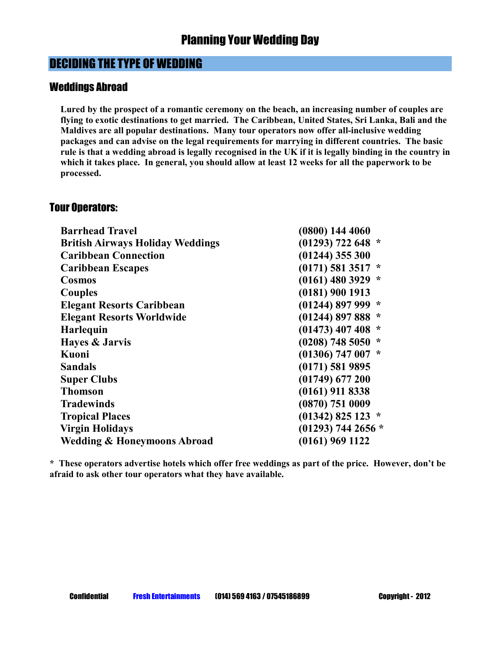#### Weddings Abroad

**Lured by the prospect of a romantic ceremony on the beach, an increasing number of couples are flying to exotic destinations to get married. The Caribbean, United States, Sri Lanka, Bali and the Maldives are all popular destinations. Many tour operators now offer all-inclusive wedding packages and can advise on the legal requirements for marrying in different countries. The basic rule is that a wedding abroad is legally recognised in the UK if it is legally binding in the country in which it takes place. In general, you should allow at least 12 weeks for all the paperwork to be processed.** 

#### Tour Operators:

| <b>Barrhead Travel</b>                  | $(0800)$ 144 4060     |
|-----------------------------------------|-----------------------|
| <b>British Airways Holiday Weddings</b> | $(01293)$ 722 648 *   |
| <b>Caribbean Connection</b>             | $(01244)$ 355 300     |
| <b>Caribbean Escapes</b>                | $(0171)$ 581 3517 $*$ |
| <b>Cosmos</b>                           | $(0161)$ 480 3929 *   |
| Couples                                 | $(0181)$ 900 1913     |
| <b>Elegant Resorts Caribbean</b>        | $(01244)$ 897 999 *   |
| <b>Elegant Resorts Worldwide</b>        | $(01244)$ 897 888 $*$ |
| Harlequin                               | $(01473)$ 407 408 $*$ |
| Hayes & Jarvis                          | $(0208)$ 748 5050 $*$ |
| Kuoni                                   | $(01306)$ 747 007 *   |
| <b>Sandals</b>                          | $(0171)$ 581 9895     |
| <b>Super Clubs</b>                      | $(01749)$ 677 200     |
| <b>Thomson</b>                          | $(0161)$ 911 8338     |
| <b>Tradewinds</b>                       | (0870) 751 0009       |
| <b>Tropical Places</b>                  | $(01342)$ 825 123 *   |
| <b>Virgin Holidays</b>                  | $(01293)$ 744 2656 *  |
| <b>Wedding &amp; Honeymoons Abroad</b>  | $(0161)$ 969 1122     |

**\* These operators advertise hotels which offer free weddings as part of the price. However, don't be afraid to ask other tour operators what they have available.**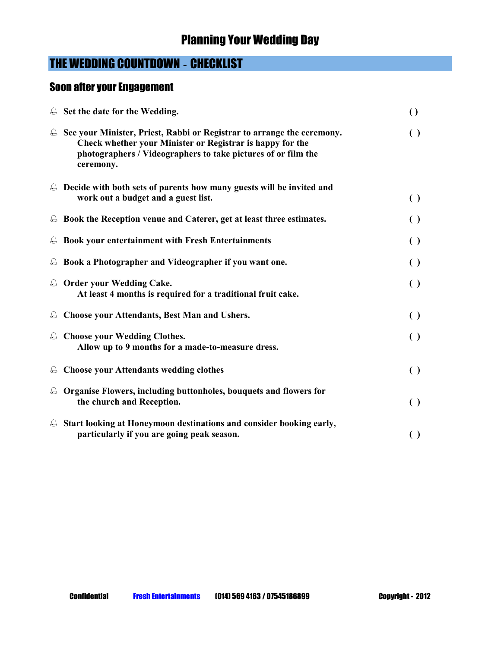## THE WEDDING COUNTDOWN - CHECKLIST

## Soon after your Engagement

|                   | $\triangle$ Set the date for the Wedding.                                                                                                                                                                         | $\left( \right)$   |
|-------------------|-------------------------------------------------------------------------------------------------------------------------------------------------------------------------------------------------------------------|--------------------|
| $\bigoplus$       | See your Minister, Priest, Rabbi or Registrar to arrange the ceremony.<br>Check whether your Minister or Registrar is happy for the<br>photographers / Videographers to take pictures of or film the<br>ceremony. | $\left( \ \right)$ |
|                   | $\triangle$ Decide with both sets of parents how many guests will be invited and<br>work out a budget and a guest list.                                                                                           | $\left( \ \right)$ |
|                   | $\triangle$ Book the Reception venue and Caterer, get at least three estimates.                                                                                                                                   | $\left( \ \right)$ |
| $\Theta$          | Book your entertainment with Fresh Entertainments                                                                                                                                                                 | $\left( \ \right)$ |
|                   | $\triangle$ Book a Photographer and Videographer if you want one.                                                                                                                                                 | $\left( \ \right)$ |
|                   | <b>A</b> Order your Wedding Cake.<br>At least 4 months is required for a traditional fruit cake.                                                                                                                  | $\left( \ \right)$ |
| $\Theta$          | <b>Choose your Attendants, Best Man and Ushers.</b>                                                                                                                                                               | $\left( \ \right)$ |
|                   | <b>A</b> Choose your Wedding Clothes.<br>Allow up to 9 months for a made-to-measure dress.                                                                                                                        | $\left( \ \right)$ |
| $\ominus$         | <b>Choose your Attendants wedding clothes</b>                                                                                                                                                                     | $\left( \ \right)$ |
| $\leftrightarrow$ | Organise Flowers, including buttonholes, bouquets and flowers for<br>the church and Reception.                                                                                                                    | $\left( \ \right)$ |
| $\Theta$          | Start looking at Honeymoon destinations and consider booking early,<br>particularly if you are going peak season.                                                                                                 | $\left( \ \right)$ |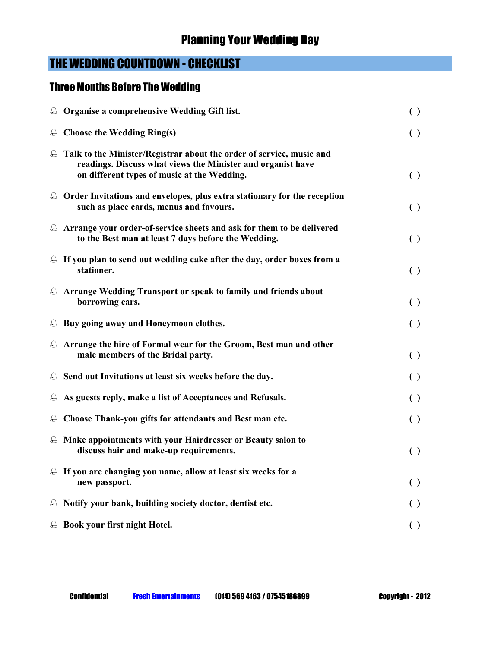## THE WEDDING COUNTDOWN - CHECKLIST

## Three Months Before The Wedding

|           | <b>A</b> Organise a comprehensive Wedding Gift list.                                                                                                                                        | $\left( \ \right)$ |
|-----------|---------------------------------------------------------------------------------------------------------------------------------------------------------------------------------------------|--------------------|
|           | $\triangle$ Choose the Wedding Ring(s)                                                                                                                                                      | $\left( \ \right)$ |
|           | <b>A</b> Talk to the Minister/Registrar about the order of service, music and<br>readings. Discuss what views the Minister and organist have<br>on different types of music at the Wedding. | $\left( \ \right)$ |
|           | $\triangle$ Order Invitations and envelopes, plus extra stationary for the reception<br>such as place cards, menus and favours.                                                             | $\left( \ \right)$ |
|           | $\triangle$ Arrange your order-of-service sheets and ask for them to be delivered<br>to the Best man at least 7 days before the Wedding.                                                    | $\left( \ \right)$ |
|           | $\triangle$ If you plan to send out wedding cake after the day, order boxes from a<br>stationer.                                                                                            | $\left( \ \right)$ |
|           | <b>A</b> Arrange Wedding Transport or speak to family and friends about<br>borrowing cars.                                                                                                  | $\left( \ \right)$ |
|           | $\triangle$ Buy going away and Honeymoon clothes.                                                                                                                                           | $\left( \ \right)$ |
|           | $\triangle$ Arrange the hire of Formal wear for the Groom, Best man and other<br>male members of the Bridal party.                                                                          | $\left( \ \right)$ |
|           | $\triangle$ Send out Invitations at least six weeks before the day.                                                                                                                         | $\left( \ \right)$ |
|           | $\triangle$ As guests reply, make a list of Acceptances and Refusals.                                                                                                                       | $\left( \ \right)$ |
|           | $\triangle$ Choose Thank-you gifts for attendants and Best man etc.                                                                                                                         | $\left( \ \right)$ |
|           | $\triangle$ Make appointments with your Hairdresser or Beauty salon to<br>discuss hair and make-up requirements.                                                                            | $\left( \ \right)$ |
|           | $\triangle$ If you are changing you name, allow at least six weeks for a<br>new passport.                                                                                                   | $\left( \ \right)$ |
| $\ominus$ | Notify your bank, building society doctor, dentist etc.                                                                                                                                     | $\left( \ \right)$ |
| $\ominus$ | Book your first night Hotel.                                                                                                                                                                | $\left( \ \right)$ |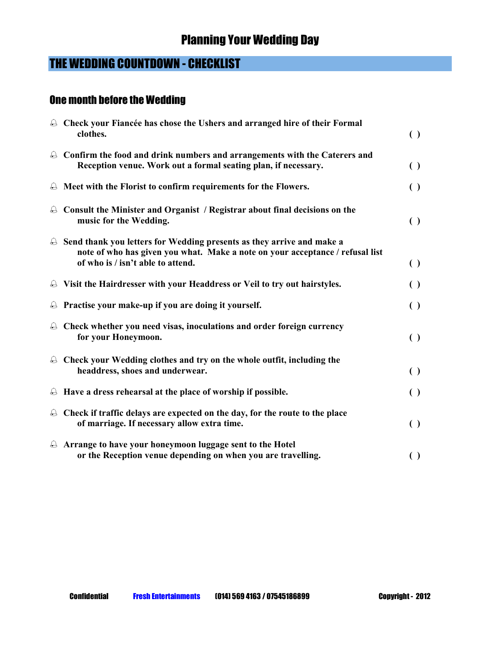## THE WEDDING COUNTDOWN - CHECKLIST

#### One month before the Wedding

| <b>A</b> Check your Fiancée has chose the Ushers and arranged hire of their Formal<br>clothes.                                                                                                          | $\left( \ \right)$ |
|---------------------------------------------------------------------------------------------------------------------------------------------------------------------------------------------------------|--------------------|
| $\triangle$ Confirm the food and drink numbers and arrangements with the Caterers and<br>Reception venue. Work out a formal seating plan, if necessary.                                                 | $\left( \ \right)$ |
| $\triangle$ Meet with the Florist to confirm requirements for the Flowers.                                                                                                                              | $\left( \ \right)$ |
| $\triangle$ Consult the Minister and Organist / Registrar about final decisions on the<br>music for the Wedding.                                                                                        | $\left( \ \right)$ |
| $\triangle$ Send thank you letters for Wedding presents as they arrive and make a<br>note of who has given you what. Make a note on your acceptance / refusal list<br>of who is / isn't able to attend. | $\left( \ \right)$ |
| <b>A</b> Visit the Hairdresser with your Headdress or Veil to try out hairstyles.                                                                                                                       | $\left( \ \right)$ |
| $\triangle$ Practise your make-up if you are doing it yourself.                                                                                                                                         | $\left( \ \right)$ |
| $\triangle$ Check whether you need visas, inoculations and order foreign currency<br>for your Honeymoon.                                                                                                | $\left( \ \right)$ |
| $\triangle$ Check your Wedding clothes and try on the whole outfit, including the<br>headdress, shoes and underwear.                                                                                    | $\left( \ \right)$ |
| $\triangle$ Have a dress rehearsal at the place of worship if possible.                                                                                                                                 | $\left( \ \right)$ |
| $\triangle$ Check if traffic delays are expected on the day, for the route to the place<br>of marriage. If necessary allow extra time.                                                                  | $\left( \ \right)$ |
| $\triangle$ Arrange to have your honeymoon luggage sent to the Hotel<br>or the Reception venue depending on when you are travelling.                                                                    | $\left( \ \right)$ |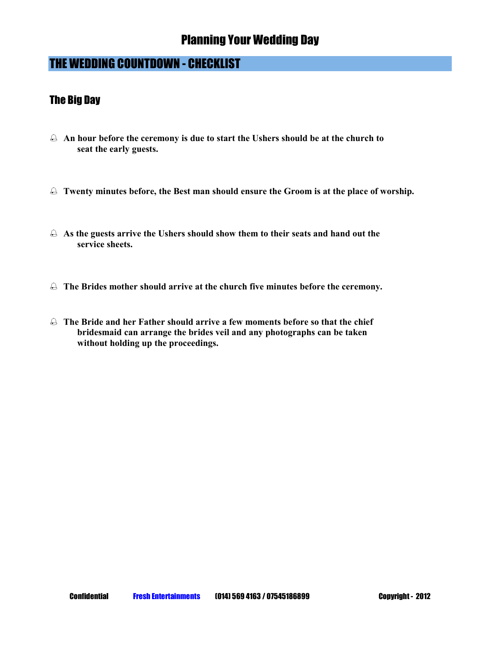## THE WEDDING COUNTDOWN - CHECKLIST

#### The Big Day

- ֠ **An hour before the ceremony is due to start the Ushers should be at the church to seat the early guests.**
- ֠ **Twenty minutes before, the Best man should ensure the Groom is at the place of worship.**
- ֠ **As the guests arrive the Ushers should show them to their seats and hand out the service sheets.**
- $\triangle$  The Brides mother should arrive at the church five minutes before the ceremony.
- ֠ **The Bride and her Father should arrive a few moments before so that the chief bridesmaid can arrange the brides veil and any photographs can be taken without holding up the proceedings.**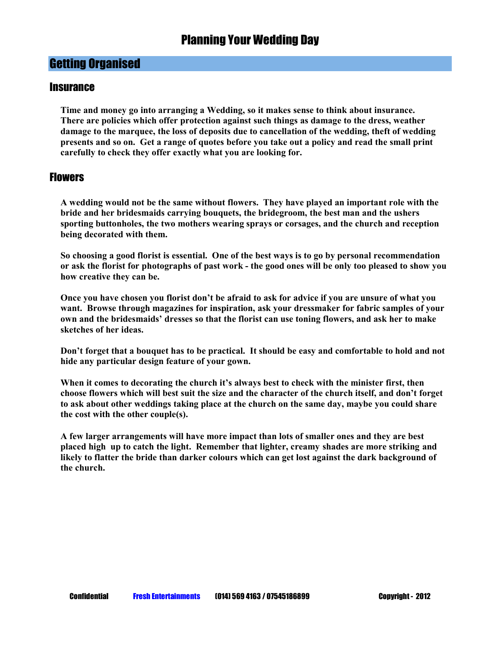#### **Insurance**

**Time and money go into arranging a Wedding, so it makes sense to think about insurance. There are policies which offer protection against such things as damage to the dress, weather damage to the marquee, the loss of deposits due to cancellation of the wedding, theft of wedding presents and so on. Get a range of quotes before you take out a policy and read the small print carefully to check they offer exactly what you are looking for.** 

#### **Flowers**

**A wedding would not be the same without flowers. They have played an important role with the bride and her bridesmaids carrying bouquets, the bridegroom, the best man and the ushers sporting buttonholes, the two mothers wearing sprays or corsages, and the church and reception being decorated with them.** 

**So choosing a good florist is essential. One of the best ways is to go by personal recommendation or ask the florist for photographs of past work - the good ones will be only too pleased to show you how creative they can be.** 

**Once you have chosen you florist don't be afraid to ask for advice if you are unsure of what you want. Browse through magazines for inspiration, ask your dressmaker for fabric samples of your own and the bridesmaids' dresses so that the florist can use toning flowers, and ask her to make sketches of her ideas.** 

**Don't forget that a bouquet has to be practical. It should be easy and comfortable to hold and not hide any particular design feature of your gown.** 

**When it comes to decorating the church it's always best to check with the minister first, then choose flowers which will best suit the size and the character of the church itself, and don't forget to ask about other weddings taking place at the church on the same day, maybe you could share the cost with the other couple(s).** 

**A few larger arrangements will have more impact than lots of smaller ones and they are best placed high up to catch the light. Remember that lighter, creamy shades are more striking and likely to flatter the bride than darker colours which can get lost against the dark background of the church.**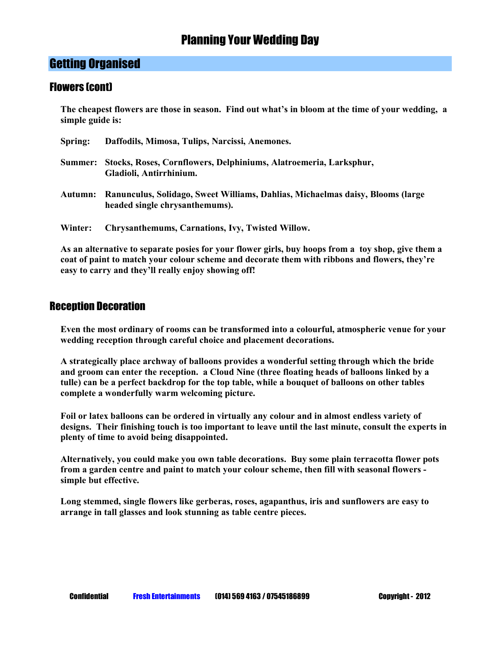#### Getting Organised

#### Flowers (cont)

**The cheapest flowers are those in season. Find out what's in bloom at the time of your wedding, a simple guide is:** 

| Spring: | Daffodils, Mimosa, Tulips, Narcissi, Anemones.                                                                   |
|---------|------------------------------------------------------------------------------------------------------------------|
| Summer: | Stocks, Roses, Cornflowers, Delphiniums, Alatroemeria, Larksphur,<br>Gladioli, Antirrhinium.                     |
| Autumn: | Ranunculus, Solidago, Sweet Williams, Dahlias, Michaelmas daisy, Blooms (large<br>headed single chrysanthemums). |
| Winter: | Chrysanthemums, Carnations, Ivy, Twisted Willow.                                                                 |

**As an alternative to separate posies for your flower girls, buy hoops from a toy shop, give them a coat of paint to match your colour scheme and decorate them with ribbons and flowers, they're easy to carry and they'll really enjoy showing off!** 

#### Reception Decoration

**Even the most ordinary of rooms can be transformed into a colourful, atmospheric venue for your wedding reception through careful choice and placement decorations.** 

**A strategically place archway of balloons provides a wonderful setting through which the bride and groom can enter the reception. a Cloud Nine (three floating heads of balloons linked by a tulle) can be a perfect backdrop for the top table, while a bouquet of balloons on other tables complete a wonderfully warm welcoming picture.** 

**Foil or latex balloons can be ordered in virtually any colour and in almost endless variety of designs. Their finishing touch is too important to leave until the last minute, consult the experts in plenty of time to avoid being disappointed.**

**Alternatively, you could make you own table decorations. Buy some plain terracotta flower pots from a garden centre and paint to match your colour scheme, then fill with seasonal flowers simple but effective.** 

**Long stemmed, single flowers like gerberas, roses, agapanthus, iris and sunflowers are easy to arrange in tall glasses and look stunning as table centre pieces.**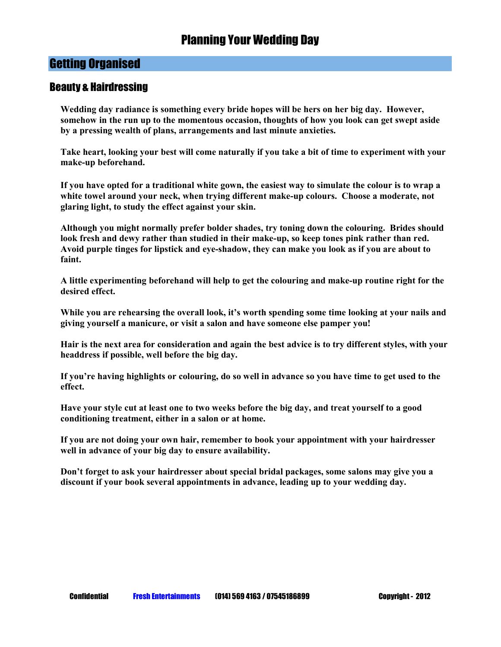#### Beauty & Hairdressing

**Wedding day radiance is something every bride hopes will be hers on her big day. However, somehow in the run up to the momentous occasion, thoughts of how you look can get swept aside by a pressing wealth of plans, arrangements and last minute anxieties.** 

**Take heart, looking your best will come naturally if you take a bit of time to experiment with your make-up beforehand.** 

**If you have opted for a traditional white gown, the easiest way to simulate the colour is to wrap a white towel around your neck, when trying different make-up colours. Choose a moderate, not glaring light, to study the effect against your skin.** 

**Although you might normally prefer bolder shades, try toning down the colouring. Brides should look fresh and dewy rather than studied in their make-up, so keep tones pink rather than red. Avoid purple tinges for lipstick and eye-shadow, they can make you look as if you are about to faint.** 

**A little experimenting beforehand will help to get the colouring and make-up routine right for the desired effect.** 

**While you are rehearsing the overall look, it's worth spending some time looking at your nails and giving yourself a manicure, or visit a salon and have someone else pamper you!** 

**Hair is the next area for consideration and again the best advice is to try different styles, with your headdress if possible, well before the big day.** 

**If you're having highlights or colouring, do so well in advance so you have time to get used to the effect.** 

**Have your style cut at least one to two weeks before the big day, and treat yourself to a good conditioning treatment, either in a salon or at home.** 

**If you are not doing your own hair, remember to book your appointment with your hairdresser well in advance of your big day to ensure availability.** 

**Don't forget to ask your hairdresser about special bridal packages, some salons may give you a discount if your book several appointments in advance, leading up to your wedding day.**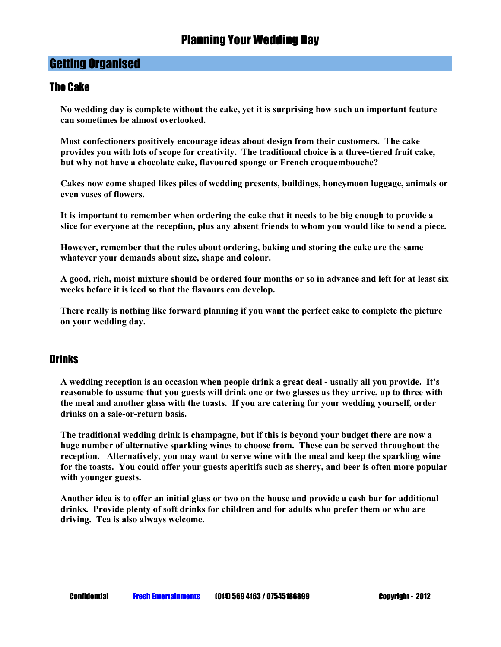#### The Cake

**No wedding day is complete without the cake, yet it is surprising how such an important feature can sometimes be almost overlooked.** 

**Most confectioners positively encourage ideas about design from their customers. The cake provides you with lots of scope for creativity. The traditional choice is a three-tiered fruit cake, but why not have a chocolate cake, flavoured sponge or French croquembouche?** 

**Cakes now come shaped likes piles of wedding presents, buildings, honeymoon luggage, animals or even vases of flowers.** 

**It is important to remember when ordering the cake that it needs to be big enough to provide a slice for everyone at the reception, plus any absent friends to whom you would like to send a piece.** 

**However, remember that the rules about ordering, baking and storing the cake are the same whatever your demands about size, shape and colour.**

**A good, rich, moist mixture should be ordered four months or so in advance and left for at least six weeks before it is iced so that the flavours can develop.** 

**There really is nothing like forward planning if you want the perfect cake to complete the picture on your wedding day.** 

#### **Drinks**

**A wedding reception is an occasion when people drink a great deal - usually all you provide. It's reasonable to assume that you guests will drink one or two glasses as they arrive, up to three with the meal and another glass with the toasts. If you are catering for your wedding yourself, order drinks on a sale-or-return basis.** 

**The traditional wedding drink is champagne, but if this is beyond your budget there are now a huge number of alternative sparkling wines to choose from. These can be served throughout the reception. Alternatively, you may want to serve wine with the meal and keep the sparkling wine for the toasts. You could offer your guests aperitifs such as sherry, and beer is often more popular with younger guests.** 

**Another idea is to offer an initial glass or two on the house and provide a cash bar for additional drinks. Provide plenty of soft drinks for children and for adults who prefer them or who are driving. Tea is also always welcome.**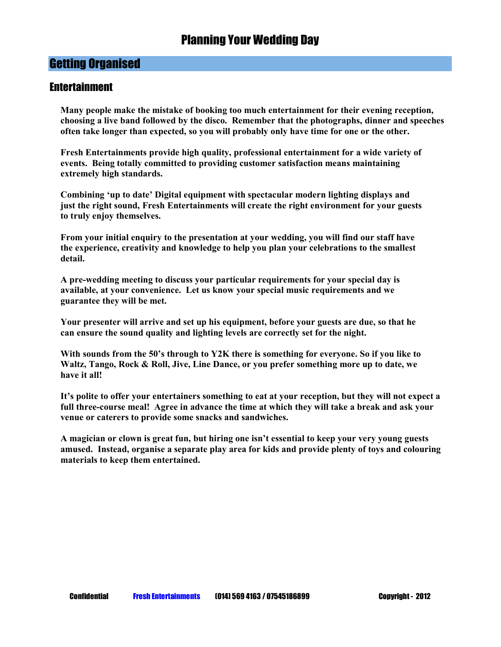#### **Entertainment**

**Many people make the mistake of booking too much entertainment for their evening reception, choosing a live band followed by the disco. Remember that the photographs, dinner and speeches often take longer than expected, so you will probably only have time for one or the other.** 

**Fresh Entertainments provide high quality, professional entertainment for a wide variety of events. Being totally committed to providing customer satisfaction means maintaining extremely high standards.** 

**Combining 'up to date' Digital equipment with spectacular modern lighting displays and just the right sound, Fresh Entertainments will create the right environment for your guests to truly enjoy themselves.** 

**From your initial enquiry to the presentation at your wedding, you will find our staff have the experience, creativity and knowledge to help you plan your celebrations to the smallest detail.** 

**A pre-wedding meeting to discuss your particular requirements for your special day is available, at your convenience. Let us know your special music requirements and we guarantee they will be met.** 

**Your presenter will arrive and set up his equipment, before your guests are due, so that he can ensure the sound quality and lighting levels are correctly set for the night.** 

**With sounds from the 50's through to Y2K there is something for everyone. So if you like to Waltz, Tango, Rock & Roll, Jive, Line Dance, or you prefer something more up to date, we have it all!** 

**It's polite to offer your entertainers something to eat at your reception, but they will not expect a full three-course meal! Agree in advance the time at which they will take a break and ask your venue or caterers to provide some snacks and sandwiches.** 

**A magician or clown is great fun, but hiring one isn't essential to keep your very young guests amused. Instead, organise a separate play area for kids and provide plenty of toys and colouring materials to keep them entertained.**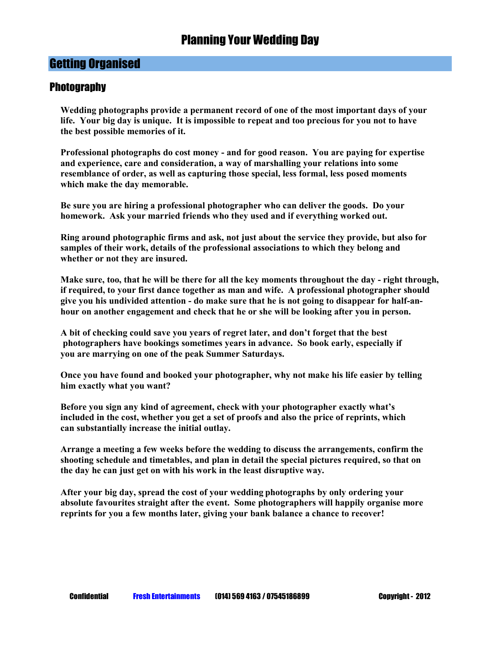#### **Photography**

**Wedding photographs provide a permanent record of one of the most important days of your life. Your big day is unique. It is impossible to repeat and too precious for you not to have the best possible memories of it.** 

**Professional photographs do cost money - and for good reason. You are paying for expertise and experience, care and consideration, a way of marshalling your relations into some resemblance of order, as well as capturing those special, less formal, less posed moments which make the day memorable.** 

**Be sure you are hiring a professional photographer who can deliver the goods. Do your homework. Ask your married friends who they used and if everything worked out.** 

**Ring around photographic firms and ask, not just about the service they provide, but also for samples of their work, details of the professional associations to which they belong and whether or not they are insured.** 

**Make sure, too, that he will be there for all the key moments throughout the day - right through, if required, to your first dance together as man and wife. A professional photographer should give you his undivided attention - do make sure that he is not going to disappear for half-anhour on another engagement and check that he or she will be looking after you in person.** 

**A bit of checking could save you years of regret later, and don't forget that the best photographers have bookings sometimes years in advance. So book early, especially if you are marrying on one of the peak Summer Saturdays.** 

**Once you have found and booked your photographer, why not make his life easier by telling him exactly what you want?** 

**Before you sign any kind of agreement, check with your photographer exactly what's included in the cost, whether you get a set of proofs and also the price of reprints, which can substantially increase the initial outlay.** 

**Arrange a meeting a few weeks before the wedding to discuss the arrangements, confirm the shooting schedule and timetables, and plan in detail the special pictures required, so that on the day he can just get on with his work in the least disruptive way.**

**After your big day, spread the cost of your wedding photographs by only ordering your absolute favourites straight after the event. Some photographers will happily organise more reprints for you a few months later, giving your bank balance a chance to recover!**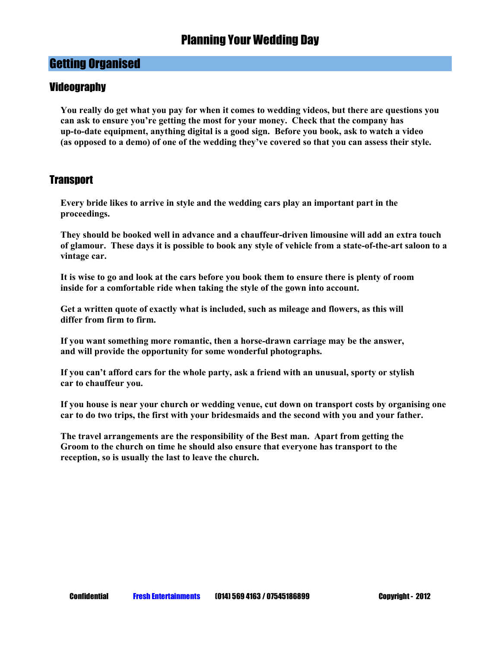#### **Videography**

**You really do get what you pay for when it comes to wedding videos, but there are questions you can ask to ensure you're getting the most for your money. Check that the company has up-to-date equipment, anything digital is a good sign. Before you book, ask to watch a video (as opposed to a demo) of one of the wedding they've covered so that you can assess their style.** 

#### **Transport**

**Every bride likes to arrive in style and the wedding cars play an important part in the proceedings.** 

**They should be booked well in advance and a chauffeur-driven limousine will add an extra touch of glamour. These days it is possible to book any style of vehicle from a state-of-the-art saloon to a vintage car.** 

**It is wise to go and look at the cars before you book them to ensure there is plenty of room inside for a comfortable ride when taking the style of the gown into account.** 

**Get a written quote of exactly what is included, such as mileage and flowers, as this will differ from firm to firm.** 

**If you want something more romantic, then a horse-drawn carriage may be the answer, and will provide the opportunity for some wonderful photographs.** 

**If you can't afford cars for the whole party, ask a friend with an unusual, sporty or stylish car to chauffeur you.** 

**If you house is near your church or wedding venue, cut down on transport costs by organising one car to do two trips, the first with your bridesmaids and the second with you and your father.** 

**The travel arrangements are the responsibility of the Best man. Apart from getting the Groom to the church on time he should also ensure that everyone has transport to the reception, so is usually the last to leave the church.**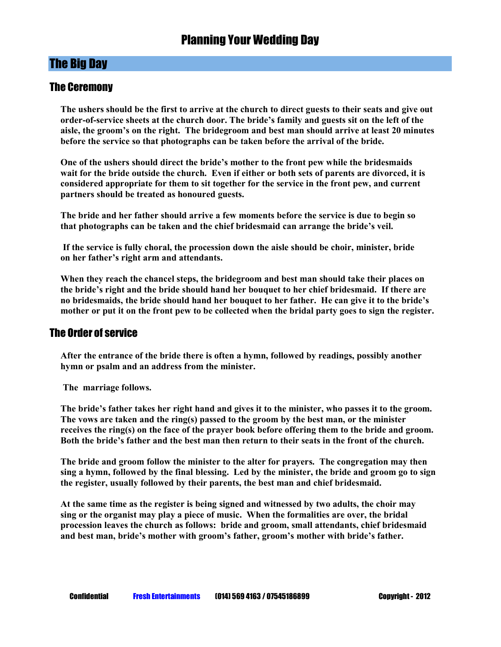#### The Ceremony

**The ushers should be the first to arrive at the church to direct guests to their seats and give out order-of-service sheets at the church door. The bride's family and guests sit on the left of the aisle, the groom's on the right. The bridegroom and best man should arrive at least 20 minutes before the service so that photographs can be taken before the arrival of the bride.** 

**One of the ushers should direct the bride's mother to the front pew while the bridesmaids wait for the bride outside the church. Even if either or both sets of parents are divorced, it is considered appropriate for them to sit together for the service in the front pew, and current partners should be treated as honoured guests.** 

**The bride and her father should arrive a few moments before the service is due to begin so that photographs can be taken and the chief bridesmaid can arrange the bride's veil.** 

 **If the service is fully choral, the procession down the aisle should be choir, minister, bride on her father's right arm and attendants.** 

**When they reach the chancel steps, the bridegroom and best man should take their places on the bride's right and the bride should hand her bouquet to her chief bridesmaid. If there are no bridesmaids, the bride should hand her bouquet to her father. He can give it to the bride's mother or put it on the front pew to be collected when the bridal party goes to sign the register.** 

#### The Order of service

**After the entrance of the bride there is often a hymn, followed by readings, possibly another hymn or psalm and an address from the minister.** 

 **The marriage follows.** 

**The bride's father takes her right hand and gives it to the minister, who passes it to the groom. The vows are taken and the ring(s) passed to the groom by the best man, or the minister receives the ring(s) on the face of the prayer book before offering them to the bride and groom. Both the bride's father and the best man then return to their seats in the front of the church.** 

**The bride and groom follow the minister to the alter for prayers. The congregation may then sing a hymn, followed by the final blessing. Led by the minister, the bride and groom go to sign the register, usually followed by their parents, the best man and chief bridesmaid.** 

**At the same time as the register is being signed and witnessed by two adults, the choir may sing or the organist may play a piece of music. When the formalities are over, the bridal procession leaves the church as follows: bride and groom, small attendants, chief bridesmaid and best man, bride's mother with groom's father, groom's mother with bride's father.**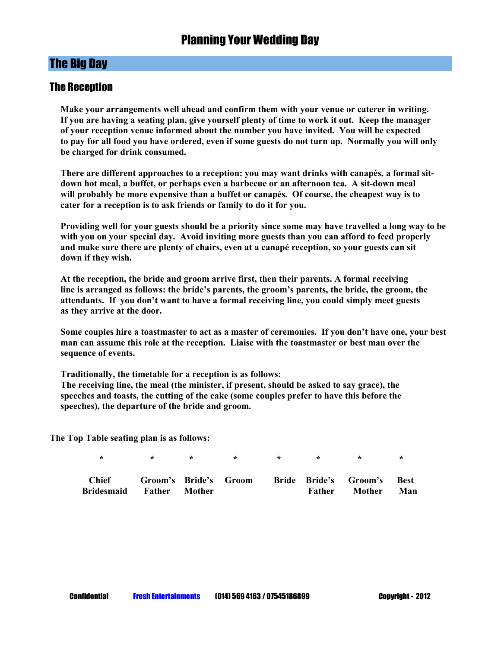#### The Reception

**Make your arrangements well ahead and confirm them with your venue or caterer in writing. If you are having a seating plan, give yourself plenty of time to work it out. Keep the manager of your reception venue informed about the number you have invited. You will be expected to pay for all food you have ordered, even if some guests do not turn up. Normally you will only be charged for drink consumed.** 

**There are different approaches to a reception: you may want drinks with canapés, a formal sitdown hot meal, a buffet, or perhaps even a barbecue or an afternoon tea. A sit-down meal will probably be more expensive than a buffet or canapés. Of course, the cheapest way is to cater for a reception is to ask friends or family to do it for you.** 

**Providing well for your guests should be a priority since some may have travelled a long way to be with you on your special day. Avoid inviting more guests than you can afford to feed properly and make sure there are plenty of chairs, even at a canapé reception, so your guests can sit down if they wish.** 

**At the reception, the bride and groom arrive first, then their parents. A formal receiving line is arranged as follows: the bride's parents, the groom's parents, the bride, the groom, the attendants. If you don't want to have a formal receiving line, you could simply meet guests as they arrive at the door.** 

**Some couples hire a toastmaster to act as a master of ceremonies. If you don't have one, your best man can assume this role at the reception. Liaise with the toastmaster or best man over the sequence of events.** 

**Traditionally, the timetable for a reception is as follows: The receiving line, the meal (the minister, if present, should be asked to say grace), the speeches and toasts, the cutting of the cake (some couples prefer to have this before the speeches), the departure of the bride and groom.** 

**The Top Table seating plan is as follows:** 

| <b>Chief</b> | Groom's Bride's Groom |  |        | <b>Bride Bride's Groom's Best</b> |     |
|--------------|-----------------------|--|--------|-----------------------------------|-----|
| Bridesmaid   | <b>Father Mother</b>  |  | Father | Mother                            | Man |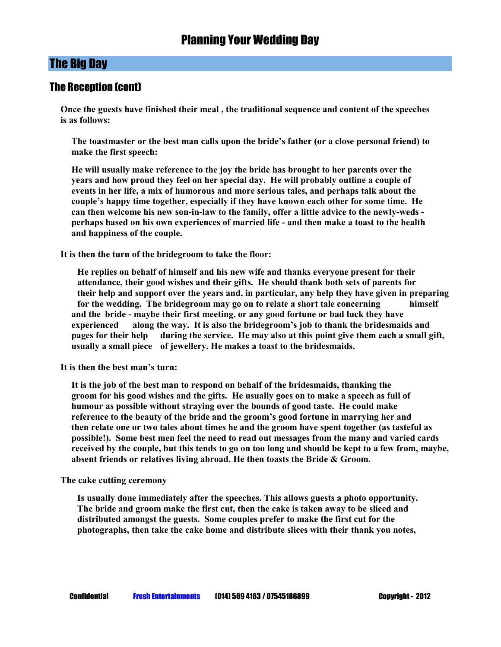#### The Reception (cont)

**Once the guests have finished their meal , the traditional sequence and content of the speeches is as follows:** 

**The toastmaster or the best man calls upon the bride's father (or a close personal friend) to make the first speech:**

**He will usually make reference to the joy the bride has brought to her parents over the years and how proud they feel on her special day. He will probably outline a couple of events in her life, a mix of humorous and more serious tales, and perhaps talk about the couple's happy time together, especially if they have known each other for some time. He can then welcome his new son-in-law to the family, offer a little advice to the newly-weds perhaps based on his own experiences of married life - and then make a toast to the health and happiness of the couple.** 

**It is then the turn of the bridegroom to take the floor:** 

 **He replies on behalf of himself and his new wife and thanks everyone present for their attendance, their good wishes and their gifts. He should thank both sets of parents for their help and support over the years and, in particular, any help they have given in preparing for the wedding. The bridegroom may go on to relate a short tale concerning himself and the bride - maybe their first meeting, or any good fortune or bad luck they have experienced along the way. It is also the bridegroom's job to thank the bridesmaids and pages for their help during the service. He may also at this point give them each a small gift, usually a small piece of jewellery. He makes a toast to the bridesmaids.** 

**It is then the best man's turn:** 

**It is the job of the best man to respond on behalf of the bridesmaids, thanking the groom for his good wishes and the gifts. He usually goes on to make a speech as full of humour as possible without straying over the bounds of good taste. He could make reference to the beauty of the bride and the groom's good fortune in marrying her and then relate one or two tales about times he and the groom have spent together (as tasteful as possible!). Some best men feel the need to read out messages from the many and varied cards received by the couple, but this tends to go on too long and should be kept to a few from, maybe, absent friends or relatives living abroad. He then toasts the Bride & Groom.** 

**The cake cutting ceremony** 

 **Is usually done immediately after the speeches. This allows guests a photo opportunity. The bride and groom make the first cut, then the cake is taken away to be sliced and distributed amongst the guests. Some couples prefer to make the first cut for the photographs, then take the cake home and distribute slices with their thank you notes,**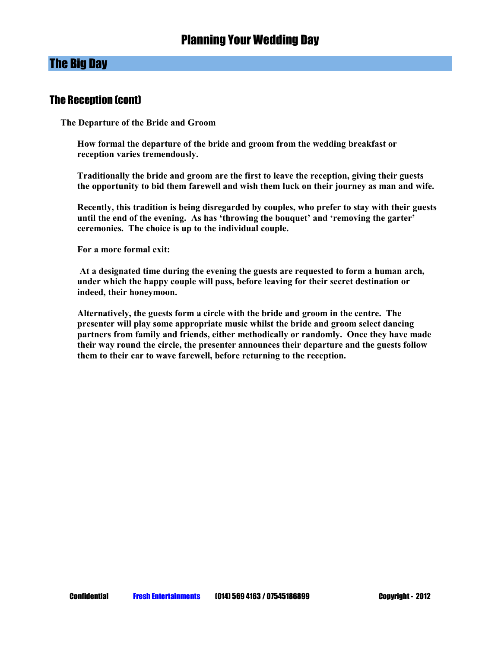#### The Reception (cont)

**The Departure of the Bride and Groom** 

 **How formal the departure of the bride and groom from the wedding breakfast or reception varies tremendously.** 

 **Traditionally the bride and groom are the first to leave the reception, giving their guests the opportunity to bid them farewell and wish them luck on their journey as man and wife.** 

 **Recently, this tradition is being disregarded by couples, who prefer to stay with their guests until the end of the evening. As has 'throwing the bouquet' and 'removing the garter' ceremonies. The choice is up to the individual couple.** 

 **For a more formal exit:** 

 **At a designated time during the evening the guests are requested to form a human arch, under which the happy couple will pass, before leaving for their secret destination or indeed, their honeymoon.** 

 **Alternatively, the guests form a circle with the bride and groom in the centre. The presenter will play some appropriate music whilst the bride and groom select dancing partners from family and friends, either methodically or randomly. Once they have made their way round the circle, the presenter announces their departure and the guests follow them to their car to wave farewell, before returning to the reception.**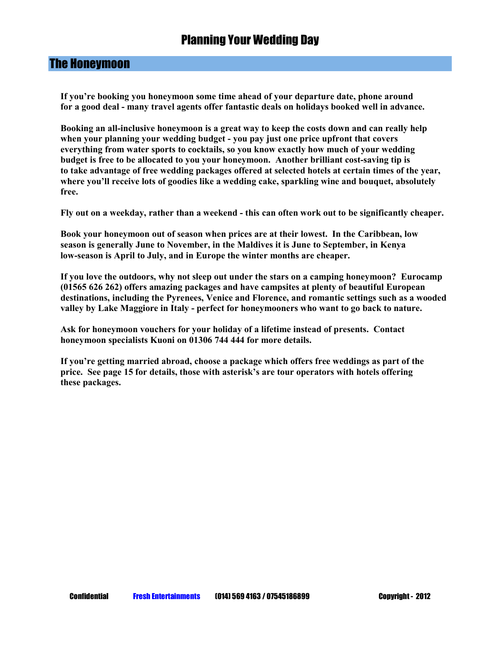#### The Honeymoon

**If you're booking you honeymoon some time ahead of your departure date, phone around for a good deal - many travel agents offer fantastic deals on holidays booked well in advance.** 

**Booking an all-inclusive honeymoon is a great way to keep the costs down and can really help when your planning your wedding budget - you pay just one price upfront that covers everything from water sports to cocktails, so you know exactly how much of your wedding budget is free to be allocated to you your honeymoon. Another brilliant cost-saving tip is to take advantage of free wedding packages offered at selected hotels at certain times of the year, where you'll receive lots of goodies like a wedding cake, sparkling wine and bouquet, absolutely free.** 

**Fly out on a weekday, rather than a weekend - this can often work out to be significantly cheaper.** 

**Book your honeymoon out of season when prices are at their lowest. In the Caribbean, low season is generally June to November, in the Maldives it is June to September, in Kenya low-season is April to July, and in Europe the winter months are cheaper.** 

**If you love the outdoors, why not sleep out under the stars on a camping honeymoon? Eurocamp (01565 626 262) offers amazing packages and have campsites at plenty of beautiful European destinations, including the Pyrenees, Venice and Florence, and romantic settings such as a wooded valley by Lake Maggiore in Italy - perfect for honeymooners who want to go back to nature.** 

**Ask for honeymoon vouchers for your holiday of a lifetime instead of presents. Contact honeymoon specialists Kuoni on 01306 744 444 for more details.** 

**If you're getting married abroad, choose a package which offers free weddings as part of the price. See page 15 for details, those with asterisk's are tour operators with hotels offering these packages.**